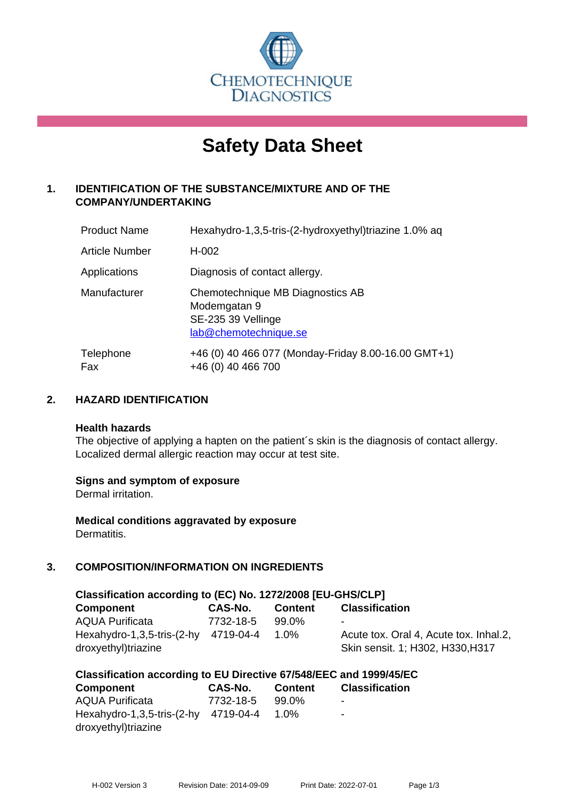

# **Safety Data Sheet**

# **1. IDENTIFICATION OF THE SUBSTANCE/MIXTURE AND OF THE COMPANY/UNDERTAKING**

| <b>Product Name</b> | Hexahydro-1,3,5-tris-(2-hydroxyethyl)triazine 1.0% aq                                           |
|---------------------|-------------------------------------------------------------------------------------------------|
| Article Number      | $H-002$                                                                                         |
| Applications        | Diagnosis of contact allergy.                                                                   |
| Manufacturer        | Chemotechnique MB Diagnostics AB<br>Modemgatan 9<br>SE-235 39 Vellinge<br>lab@chemotechnique.se |
| Telephone<br>Fax    | +46 (0) 40 466 077 (Monday-Friday 8.00-16.00 GMT+1)<br>+46 (0) 40 466 700                       |

# **2. HAZARD IDENTIFICATION**

#### **Health hazards**

The objective of applying a hapten on the patient's skin is the diagnosis of contact allergy. Localized dermal allergic reaction may occur at test site.

#### **Signs and symptom of exposure**

Dermal irritation.

**Medical conditions aggravated by exposure** Dermatitis.

# **3. COMPOSITION/INFORMATION ON INGREDIENTS**

| Classification according to (EC) No. 1272/2008 [EU-GHS/CLP] |           |                |                                                                            |  |  |
|-------------------------------------------------------------|-----------|----------------|----------------------------------------------------------------------------|--|--|
| <b>Component</b>                                            | CAS-No.   | <b>Content</b> | <b>Classification</b>                                                      |  |  |
| <b>AQUA Purificata</b>                                      | 7732-18-5 | 99.0%          | -                                                                          |  |  |
| Hexahydro-1,3,5-tris-(2-hy 4719-04-4<br>droxyethyl)triazine |           | $1.0\%$        | Acute tox. Oral 4, Acute tox. Inhal.2,<br>Skin sensit. 1; H302, H330, H317 |  |  |

#### **Classification according to EU Directive 67/548/EEC and 1999/45/EC**

| <b>Component</b>                     | CAS-No.   | <b>Content</b> | <b>Classification</b>    |
|--------------------------------------|-----------|----------------|--------------------------|
| <b>AQUA Purificata</b>               | 7732-18-5 | 99.0%          | $\blacksquare$           |
| Hexahydro-1,3,5-tris-(2-hy 4719-04-4 |           | $1.0\%$        | $\overline{\phantom{a}}$ |
| droxyethyl)triazine                  |           |                |                          |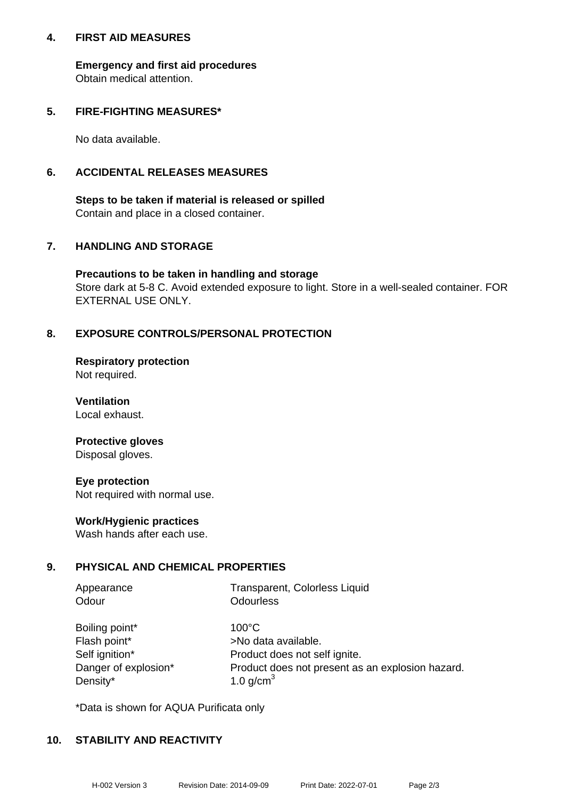#### **4. FIRST AID MEASURES**

**Emergency and first aid procedures** Obtain medical attention.

### **5. FIRE-FIGHTING MEASURES\***

No data available.

### **6. ACCIDENTAL RELEASES MEASURES**

**Steps to be taken if material is released or spilled** Contain and place in a closed container.

# **7. HANDLING AND STORAGE**

**Precautions to be taken in handling and storage** Store dark at 5-8 C. Avoid extended exposure to light. Store in a well-sealed container. FOR EXTERNAL USE ONLY.

# **8. EXPOSURE CONTROLS/PERSONAL PROTECTION**

**Respiratory protection** Not required.

**Ventilation** Local exhaust.

#### **Protective gloves** Disposal gloves.

**Eye protection** Not required with normal use.

#### **Work/Hygienic practices**

Wash hands after each use.

#### **9. PHYSICAL AND CHEMICAL PROPERTIES**

| Appearance | Transparent, Colorless Liquid |
|------------|-------------------------------|
| Odour      | Odourless                     |

| Boiling point*       |
|----------------------|
| Flash point*         |
| Self ignition*       |
| Danger of explosion* |
| Density*             |

 $100^{\circ}$ C >No data available. Product does not self ignite. Product does not present as an explosion hazard. 1.0 g/cm $<sup>3</sup>$ </sup>

\*Data is shown for AQUA Purificata only

#### **10. STABILITY AND REACTIVITY**